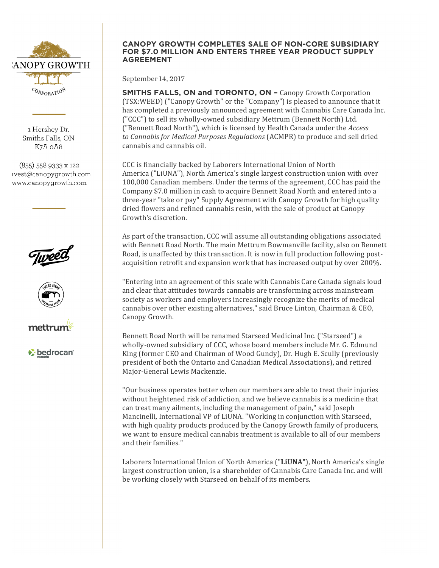

1 Hershey Dr. Smiths Falls, ON K7A oA8

(855) 558 9333 x 122 ivest@canopygrowth.com www.canopygrowth.com







*v* bedrocan

## **CANOPY GROWTH COMPLETES SALE OF NON-CORE SUBSIDIARY FOR \$7.0 MILLION AND ENTERS THREE YEAR PRODUCT SUPPLY AGREEMENT**

September 14, 2017

**SMITHS FALLS, ON and TORONTO, ON - Canopy Growth Corporation** (TSX:WEED) ("Canopy Growth" or the "Company") is pleased to announce that it has completed a previously announced agreement with Cannabis Care Canada Inc. ("CCC") to sell its wholly-owned subsidiary Mettrum (Bennett North) Ltd. ("Bennett Road North"), which is licensed by Health Canada under the *Access* to *Cannabis for Medical Purposes Regulations* (ACMPR) to produce and sell dried cannabis and cannabis oil.

CCC is financially backed by Laborers International Union of North America ("LiUNA"), North America's single largest construction union with over 100,000 Canadian members. Under the terms of the agreement, CCC has paid the Company \$7.0 million in cash to acquire Bennett Road North and entered into a three-year "take or pay" Supply Agreement with Canopy Growth for high quality dried flowers and refined cannabis resin, with the sale of product at Canopy Growth's discretion.

As part of the transaction, CCC will assume all outstanding obligations associated with Bennett Road North. The main Mettrum Bowmanville facility, also on Bennett Road, is unaffected by this transaction. It is now in full production following postacquisition retrofit and expansion work that has increased output by over 200%.

"Entering into an agreement of this scale with Cannabis Care Canada signals loud and clear that attitudes towards cannabis are transforming across mainstream society as workers and employers increasingly recognize the merits of medical cannabis over other existing alternatives," said Bruce Linton, Chairman & CEO. Canopy Growth.

Bennett Road North will be renamed Starseed Medicinal Inc. ("Starseed") a wholly-owned subsidiary of CCC, whose board members include Mr. G. Edmund King (former CEO and Chairman of Wood Gundy), Dr. Hugh E. Scully (previously president of both the Ontario and Canadian Medical Associations), and retired Major-General Lewis Mackenzie.

"Our business operates better when our members are able to treat their injuries without heightened risk of addiction, and we believe cannabis is a medicine that can treat many ailments, including the management of pain," said Joseph Mancinelli, International VP of LiUNA. "Working in conjunction with Starseed, with high quality products produced by the Canopy Growth family of producers, we want to ensure medical cannabis treatment is available to all of our members and their families."

Laborers International Union of North America ("LiUNA"), North America's single largest construction union, is a shareholder of Cannabis Care Canada Inc. and will be working closely with Starseed on behalf of its members.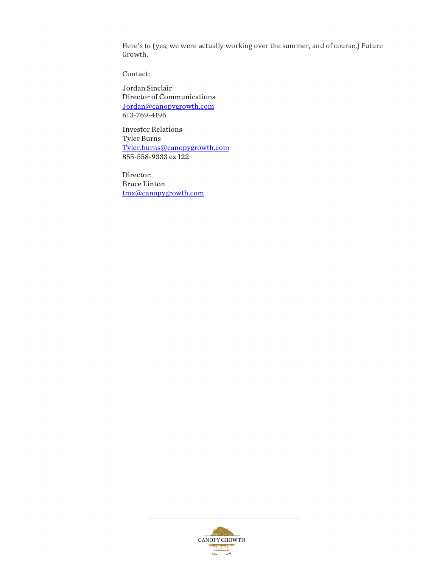Here's to (yes, we were actually working over the summer, and of course,) Future Growth.

Contact:

Jordan Sinclair Director of Communications Jordan@canopygrowth.com 613-769-4196

Investor Relations Tyler Burns Tyler.burns@canopygrowth.com 855-558-9333 ex 122

Director: Bruce Linton tmx@canopygrowth.com